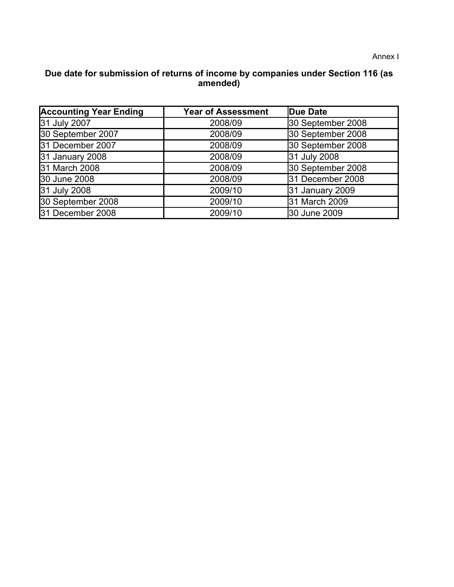## **Due date for submission of returns of income by companies under Section 116 (as amended)**

| <b>Accounting Year Ending</b> | <b>Year of Assessment</b> | Due Date          |
|-------------------------------|---------------------------|-------------------|
| 31 July 2007                  | 2008/09                   | 30 September 2008 |
| 30 September 2007             | 2008/09                   | 30 September 2008 |
| 31 December 2007              | 2008/09                   | 30 September 2008 |
| 31 January 2008               | 2008/09                   | 31 July 2008      |
| 31 March 2008                 | 2008/09                   | 30 September 2008 |
| 30 June 2008                  | 2008/09                   | 31 December 2008  |
| 31 July 2008                  | 2009/10                   | 31 January 2009   |
| 30 September 2008             | 2009/10                   | 31 March 2009     |
| 31 December 2008              | 2009/10                   | 30 June 2009      |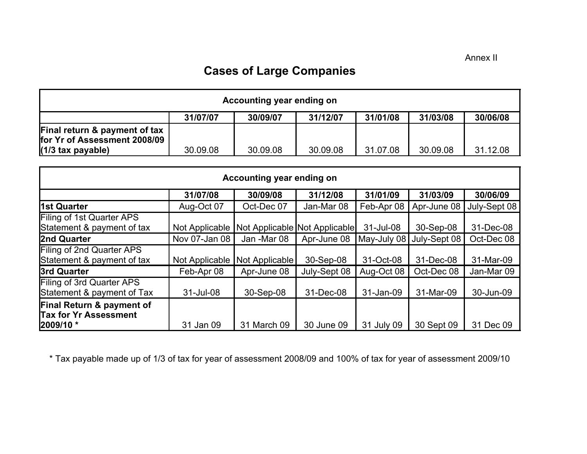## **Cases of Large Companies**

| Accounting year ending on                                     |          |          |          |          |          |          |
|---------------------------------------------------------------|----------|----------|----------|----------|----------|----------|
|                                                               | 31/07/07 | 30/09/07 | 31/12/07 | 31/01/08 | 31/03/08 | 30/06/08 |
| Final return & payment of tax<br>for Yr of Assessment 2008/09 |          |          |          |          |          |          |
| $(1/3$ tax payable)                                           | 30.09.08 | 30.09.08 | 30.09.08 | 31.07.08 | 30.09.08 | 31.12.08 |

| Accounting year ending on                                                           |                |                |                               |             |              |              |  |
|-------------------------------------------------------------------------------------|----------------|----------------|-------------------------------|-------------|--------------|--------------|--|
|                                                                                     | 31/07/08       | 30/09/08       | 31/12/08                      | 31/01/09    | 31/03/09     | 30/06/09     |  |
| 1st Quarter                                                                         | Aug-Oct 07     | Oct-Dec 07     | Jan-Mar 08                    | Feb-Apr 08  | Apr-June 08  | July-Sept 08 |  |
| <b>Filing of 1st Quarter APS</b><br>Statement & payment of tax                      | Not Applicable |                | Not Applicable Not Applicable | 31-Jul-08   | 30-Sep-08    | 31-Dec-08    |  |
| 2nd Quarter                                                                         | Nov 07-Jan 08  | Jan -Mar 08    | Apr-June 08                   | May-July 08 | July-Sept 08 | Oct-Dec 08   |  |
| Filing of 2nd Quarter APS<br>Statement & payment of tax                             | Not Applicable | Not Applicable | 30-Sep-08                     | 31-Oct-08   | 31-Dec-08    | 31-Mar-09    |  |
| 3rd Quarter                                                                         | Feb-Apr 08     | Apr-June 08    | July-Sept 08                  | Aug-Oct 08  | Oct-Dec 08   | Jan-Mar 09   |  |
| Filing of 3rd Quarter APS<br>Statement & payment of Tax                             | 31-Jul-08      | 30-Sep-08      | 31-Dec-08                     | 31-Jan-09   | 31-Mar-09    | 30-Jun-09    |  |
| <b>Final Return &amp; payment of</b><br><b>Tax for Yr Assessment</b><br>$ 2009/10*$ | 31 Jan 09      | 31 March 09    | 30 June 09                    | 31 July 09  | 30 Sept 09   | 31 Dec 09    |  |

\* Tax payable made up of 1/3 of tax for year of assessment 2008/09 and 100% of tax for year of assessment 2009/10